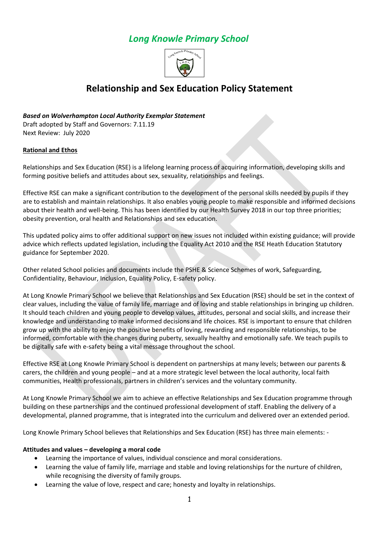# *Long Knowle Primary School*



# **Relationship and Sex Education Policy Statement**

# *Based on Wolverhampton Local Authority Exemplar Statement*

Draft adopted by Staff and Governors: 7.11.19 Next Review: July 2020

## **Rational and Ethos**

Relationships and Sex Education (RSE) is a lifelong learning process of acquiring information, developing skills and forming positive beliefs and attitudes about sex, sexuality, relationships and feelings.

Effective RSE can make a significant contribution to the development of the personal skills needed by pupils if they are to establish and maintain relationships. It also enables young people to make responsible and informed decisions about their health and well-being. This has been identified by our Health Survey 2018 in our top three priorities; obesity prevention, oral health and Relationships and sex education.

This updated policy aims to offer additional support on new issues not included within existing guidance; will provide advice which reflects updated legislation, including the Equality Act 2010 and the RSE Heath Education Statutory guidance for September 2020.

Other related School policies and documents include the PSHE & Science Schemes of work, Safeguarding, Confidentiality, Behaviour, Inclusion, Equality Policy, E-safety policy.

At Long Knowle Primary School we believe that Relationships and Sex Education (RSE) should be set in the context of clear values, including the value of family life, marriage and of loving and stable relationships in bringing up children. It should teach children and young people to develop values, attitudes, personal and social skills, and increase their knowledge and understanding to make informed decisions and life choices. RSE is important to ensure that children grow up with the ability to enjoy the positive benefits of loving, rewarding and responsible relationships, to be informed, comfortable with the changes during puberty, sexually healthy and emotionally safe. We teach pupils to be digitally safe with e-safety being a vital message throughout the school.

Effective RSE at Long Knowle Primary School is dependent on partnerships at many levels; between our parents & carers, the children and young people – and at a more strategic level between the local authority, local faith communities, Health professionals, partners in children's services and the voluntary community.

At Long Knowle Primary School we aim to achieve an effective Relationships and Sex Education programme through building on these partnerships and the continued professional development of staff. Enabling the delivery of a developmental, planned programme, that is integrated into the curriculum and delivered over an extended period.

Long Knowle Primary School believes that Relationships and Sex Education (RSE) has three main elements: -

## **Attitudes and values – developing a moral code**

- Learning the importance of values, individual conscience and moral considerations.
- Learning the value of family life, marriage and stable and loving relationships for the nurture of children, while recognising the diversity of family groups.
- Learning the value of love, respect and care; honesty and loyalty in relationships.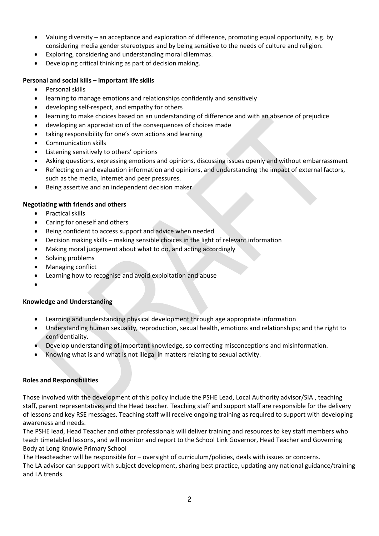- Valuing diversity an acceptance and exploration of difference, promoting equal opportunity, e.g. by considering media gender stereotypes and by being sensitive to the needs of culture and religion.
- Exploring, considering and understanding moral dilemmas.
- Developing critical thinking as part of decision making.

## **Personal and social kills – important life skills**

- Personal skills
- learning to manage emotions and relationships confidently and sensitively
- developing self-respect, and empathy for others
- learning to make choices based on an understanding of difference and with an absence of prejudice
- developing an appreciation of the consequences of choices made
- taking responsibility for one's own actions and learning
- Communication skills
- Listening sensitively to others' opinions
- Asking questions, expressing emotions and opinions, discussing issues openly and without embarrassment
- Reflecting on and evaluation information and opinions, and understanding the impact of external factors, such as the media, Internet and peer pressures.
- Being assertive and an independent decision maker

## **Negotiating with friends and others**

- Practical skills
- Caring for oneself and others
- Being confident to access support and advice when needed
- Decision making skills making sensible choices in the light of relevant information
- Making moral judgement about what to do, and acting accordingly
- Solving problems
- Managing conflict
- Learning how to recognise and avoid exploitation and abuse
- $\bullet$

# **Knowledge and Understanding**

- Learning and understanding physical development through age appropriate information
- Understanding human sexuality, reproduction, sexual health, emotions and relationships; and the right to confidentiality.
- Develop understanding of important knowledge, so correcting misconceptions and misinformation.
- Knowing what is and what is not illegal in matters relating to sexual activity.

#### **Roles and Responsibilities**

Those involved with the development of this policy include the PSHE Lead, Local Authority advisor/SIA , teaching staff, parent representatives and the Head teacher. Teaching staff and support staff are responsible for the delivery of lessons and key RSE messages. Teaching staff will receive ongoing training as required to support with developing awareness and needs.

The PSHE lead, Head Teacher and other professionals will deliver training and resources to key staff members who teach timetabled lessons, and will monitor and report to the School Link Governor, Head Teacher and Governing Body at Long Knowle Primary School

The Headteacher will be responsible for – oversight of curriculum/policies, deals with issues or concerns. The LA advisor can support with subject development, sharing best practice, updating any national guidance/training and LA trends.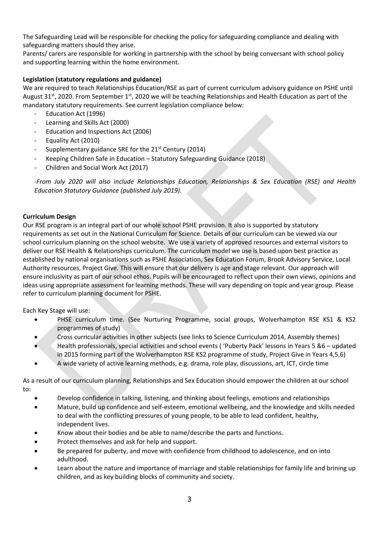The Safeguarding Lead will be responsible for checking the policy for safeguarding compliance and dealing with safeguarding matters should they arise.

Parents/ carers are responsible for working in partnership with the school by being conversant with school policy and supporting learning within the home environment.

# **Legislation (statutory regulations and guidance)**

We are required to teach Relationships Education/RSE as part of current curriculum advisory guidance on PSHE until August 31<sup>st</sup>, 2020. From September 1<sup>st</sup>, 2020 we will be teaching Relationships and Health Education as part of the mandatory statutory requirements. See current legislation compliance below:

- Education Act (1996)
- Learning and Skills Act (2000)
- Education and Inspections Act (2006)
- Equality Act (2010)
- Supplementary guidance SRE for the 21<sup>st</sup> Century (2014)
- Keeping Children Safe in Education Statutory Safeguarding Guidance (2018)
- Children and Social Work Act (2017)

*-From July 2020 will also include Relationships Education, Relationships & Sex Education (RSE) and Health Education Statutory Guidance (published July 2019).*

## **Curriculum Design**

Our RSE program is an integral part of our whole school PSHE provision. It also is supported by statutory requirements as set out in the National Curriculum for Science. Details of our curriculum can be viewed via our school curriculum planning on the school website. We use a variety of approved resources and external visitors to deliver our RSE Health & Relationships curriculum. The curriculum model we use is based upon best practice as established by national organisations such as PSHE Association, Sex Education Forum, Brook Advisory Service, Local Authority resources, Project Give. This will ensure that our delivery is age and stage relevant. Our approach will ensure inclusivity as part of our school ethos. Pupils will be encouraged to reflect upon their own views, opinions and ideas using appropriate assessment for learning methods. These will vary depending on topic and year group. Please refer to curriculum planning document for PSHE.

Each Key Stage will use:

- PHSE curriculum time. (See Nurturing Programme, social groups, Wolverhampton RSE KS1 & KS2 programmes of study)
- Cross curricular activities in other subjects (see links to Science Curriculum 2014, Assembly themes)
- Health professionals, special activities and school events ( 'Puberty Pack' lessons in Years 5 &6 updated in 2015 forming part of the Wolverhampton RSE KS2 programme of study, Project Give in Years 4,5,6)
- A wide variety of active learning methods, e.g. drama, role play, discussions, art, ICT, circle time

As a result of our curriculum planning, Relationships and Sex Education should empower the children at our school to:

- Develop confidence in talking, listening, and thinking about feelings, emotions and relationships
- Mature, build up confidence and self-esteem, emotional wellbeing, and the knowledge and skills needed to deal with the conflicting pressures of young people, to be able to lead confident, healthy, independent lives.
- Know about their bodies and be able to name/describe the parts and functions.
- Protect themselves and ask for help and support.
- Be prepared for puberty, and move with confidence from childhood to adolescence, and on into adulthood.
- Learn about the nature and importance of marriage and stable relationships for family life and brining up children, and as key building blocks of community and society.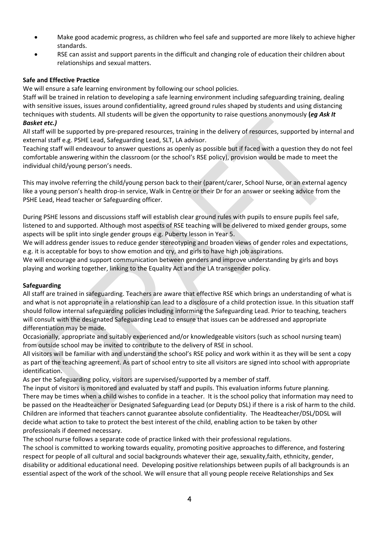- Make good academic progress, as children who feel safe and supported are more likely to achieve higher standards.
- RSE can assist and support parents in the difficult and changing role of education their children about relationships and sexual matters.

## **Safe and Effective Practice**

We will ensure a safe learning environment by following our school policies.

Staff will be trained in relation to developing a safe learning environment including safeguarding training, dealing with sensitive issues, issues around confidentiality, agreed ground rules shaped by students and using distancing techniques with students. All students will be given the opportunity to raise questions anonymously **(***eg Ask It Basket etc.)*

All staff will be supported by pre-prepared resources, training in the delivery of resources, supported by internal and external staff e.g. PSHE Lead, Safeguarding Lead, SLT, LA advisor.

Teaching staff will endeavour to answer questions as openly as possible but if faced with a question they do not feel comfortable answering within the classroom (or the school's RSE policy), provision would be made to meet the individual child/young person's needs.

This may involve referring the child/young person back to their (parent/carer, School Nurse, or an external agency like a young person's health drop-in service, Walk in Centre or their Dr for an answer or seeking advice from the PSHE Lead, Head teacher or Safeguarding officer.

During PSHE lessons and discussions staff will establish clear ground rules with pupils to ensure pupils feel safe, listened to and supported. Although most aspects of RSE teaching will be delivered to mixed gender groups, some aspects will be split into single gender groups e.g. Puberty lesson in Year 5.

We will address gender issues to reduce gender stereotyping and broaden views of gender roles and expectations, e.g. it is acceptable for boys to show emotion and cry, and girls to have high job aspirations.

We will encourage and support communication between genders and improve understanding by girls and boys playing and working together, linking to the Equality Act and the LA transgender policy.

#### **Safeguarding**

All staff are trained in safeguarding. Teachers are aware that effective RSE which brings an understanding of what is and what is not appropriate in a relationship can lead to a disclosure of a child protection issue. In this situation staff should follow internal safeguarding policies including informing the Safeguarding Lead. Prior to teaching, teachers will consult with the designated Safeguarding Lead to ensure that issues can be addressed and appropriate differentiation may be made.

Occasionally, appropriate and suitably experienced and/or knowledgeable visitors (such as school nursing team) from outside school may be invited to contribute to the delivery of RSE in school.

All visitors will be familiar with and understand the school's RSE policy and work within it as they will be sent a copy as part of the teaching agreement. As part of school entry to site all visitors are signed into school with appropriate identification.

As per the Safeguarding policy, visitors are supervised/supported by a member of staff.

The input of visitors is monitored and evaluated by staff and pupils. This evaluation informs future planning. There may be times when a child wishes to confide in a teacher. It is the school policy that information may need to be passed on the Headteacher or Designated Safeguarding Lead (or Deputy DSL) if there is a risk of harm to the child. Children are informed that teachers cannot guarantee absolute confidentiality. The Headteacher/DSL/DDSL will decide what action to take to protect the best interest of the child, enabling action to be taken by other professionals if deemed necessary.

The school nurse follows a separate code of practice linked with their professional regulations.

The school is committed to working towards equality, promoting positive approaches to difference, and fostering respect for people of all cultural and social backgrounds whatever their age, sexuality,faith, ethnicity, gender, disability or additional educational need. Developing positive relationships between pupils of all backgrounds is an essential aspect of the work of the school. We will ensure that all young people receive Relationships and Sex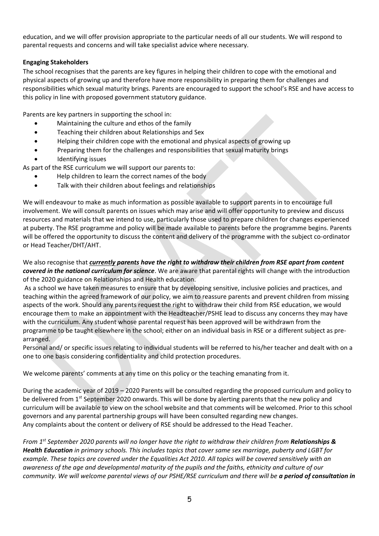education, and we will offer provision appropriate to the particular needs of all our students. We will respond to parental requests and concerns and will take specialist advice where necessary.

# **Engaging Stakeholders**

The school recognises that the parents are key figures in helping their children to cope with the emotional and physical aspects of growing up and therefore have more responsibility in preparing them for challenges and responsibilities which sexual maturity brings. Parents are encouraged to support the school's RSE and have access to this policy in line with proposed government statutory guidance.

Parents are key partners in supporting the school in:

- Maintaining the culture and ethos of the family
- Teaching their children about Relationships and Sex
- Helping their children cope with the emotional and physical aspects of growing up
- Preparing them for the challenges and responsibilities that sexual maturity brings
- Identifying issues

As part of the RSE curriculum we will support our parents to:

- Help children to learn the correct names of the body
- Talk with their children about feelings and relationships

We will endeavour to make as much information as possible available to support parents in to encourage full involvement. We will consult parents on issues which may arise and will offer opportunity to preview and discuss resources and materials that we intend to use, particularly those used to prepare children for changes experienced at puberty. The RSE programme and policy will be made available to parents before the programme begins. Parents will be offered the opportunity to discuss the content and delivery of the programme with the subject co-ordinator or Head Teacher/DHT/AHT.

We also recognise that *currently parents have the right to withdraw their children from RSE apart from content covered in the national curriculum for science*. We are aware that parental rights will change with the introduction of the 2020 guidance on Relationships and Health education.

As a school we have taken measures to ensure that by developing sensitive, inclusive policies and practices, and teaching within the agreed framework of our policy, we aim to reassure parents and prevent children from missing aspects of the work. Should any parents request the right to withdraw their child from RSE education, we would encourage them to make an appointment with the Headteacher/PSHE lead to discuss any concerns they may have with the curriculum. Any student whose parental request has been approved will be withdrawn from the programme to be taught elsewhere in the school; either on an individual basis in RSE or a different subject as prearranged.

Personal and/ or specific issues relating to individual students will be referred to his/her teacher and dealt with on a one to one basis considering confidentiality and child protection procedures.

We welcome parents' comments at any time on this policy or the teaching emanating from it.

During the academic year of 2019 – 2020 Parents will be consulted regarding the proposed curriculum and policy to be delivered from 1<sup>st</sup> September 2020 onwards. This will be done by alerting parents that the new policy and curriculum will be available to view on the school website and that comments will be welcomed. Prior to this school governors and any parental partnership groups will have been consulted regarding new changes. Any complaints about the content or delivery of RSE should be addressed to the Head Teacher.

*From 1st September 2020 parents will no longer have the right to withdraw their children from Relationships & Health Education in primary schools. This includes topics that cover same sex marriage, puberty and LGBT for example. These topics are covered under the Equalities Act 2010. All topics will be covered sensitively with an awareness of the age and developmental maturity of the pupils and the faiths, ethnicity and culture of our community. We will welcome parental views of our PSHE/RSE curriculum and there will be a period of consultation in*